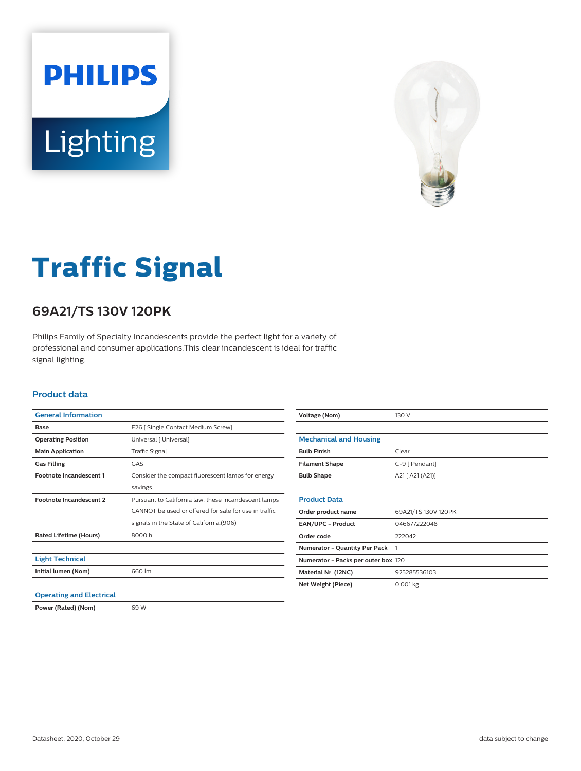



# **Traffic Signal**

## **69A21/TS 130V 120PK**

Philips Family of Specialty Incandescents provide the perfect light for a variety of professional and consumer applications.This clear incandescent is ideal for traffic signal lighting.

#### **Product data**

| <b>General Information</b>      |                                                       |  |  |
|---------------------------------|-------------------------------------------------------|--|--|
| Base                            | E26   Single Contact Medium Screw]                    |  |  |
| <b>Operating Position</b>       | Universal [ Universal]                                |  |  |
| <b>Main Application</b>         | <b>Traffic Signal</b>                                 |  |  |
| <b>Gas Filling</b>              | GAS                                                   |  |  |
| <b>Footnote Incandescent 1</b>  | Consider the compact fluorescent lamps for energy     |  |  |
|                                 | savings.                                              |  |  |
| <b>Footnote Incandescent 2</b>  | Pursuant to California law, these incandescent lamps  |  |  |
|                                 | CANNOT be used or offered for sale for use in traffic |  |  |
|                                 | signals in the State of California.(906)              |  |  |
| <b>Rated Lifetime (Hours)</b>   | 8000 h                                                |  |  |
|                                 |                                                       |  |  |
| <b>Light Technical</b>          |                                                       |  |  |
| Initial lumen (Nom)             | 660 lm                                                |  |  |
|                                 |                                                       |  |  |
| <b>Operating and Electrical</b> |                                                       |  |  |
| Power (Rated) (Nom)             | 69 W                                                  |  |  |

| Voltage (Nom)                       | 130 V               |  |
|-------------------------------------|---------------------|--|
|                                     |                     |  |
| <b>Mechanical and Housing</b>       |                     |  |
| <b>Bulb Finish</b>                  | Clear               |  |
| <b>Filament Shape</b>               | C-9 [ Pendant]      |  |
| <b>Bulb Shape</b>                   | A21 [ A21 (A21)]    |  |
|                                     |                     |  |
| <b>Product Data</b>                 |                     |  |
| Order product name                  | 69A21/TS 130V 120PK |  |
| <b>EAN/UPC - Product</b>            | 046677222048        |  |
| Order code                          | 222042              |  |
| Numerator - Quantity Per Pack       | 1                   |  |
| Numerator - Packs per outer box 120 |                     |  |
| Material Nr. (12NC)                 | 925285536103        |  |
| Net Weight (Piece)                  | $0.001$ kg          |  |
|                                     |                     |  |